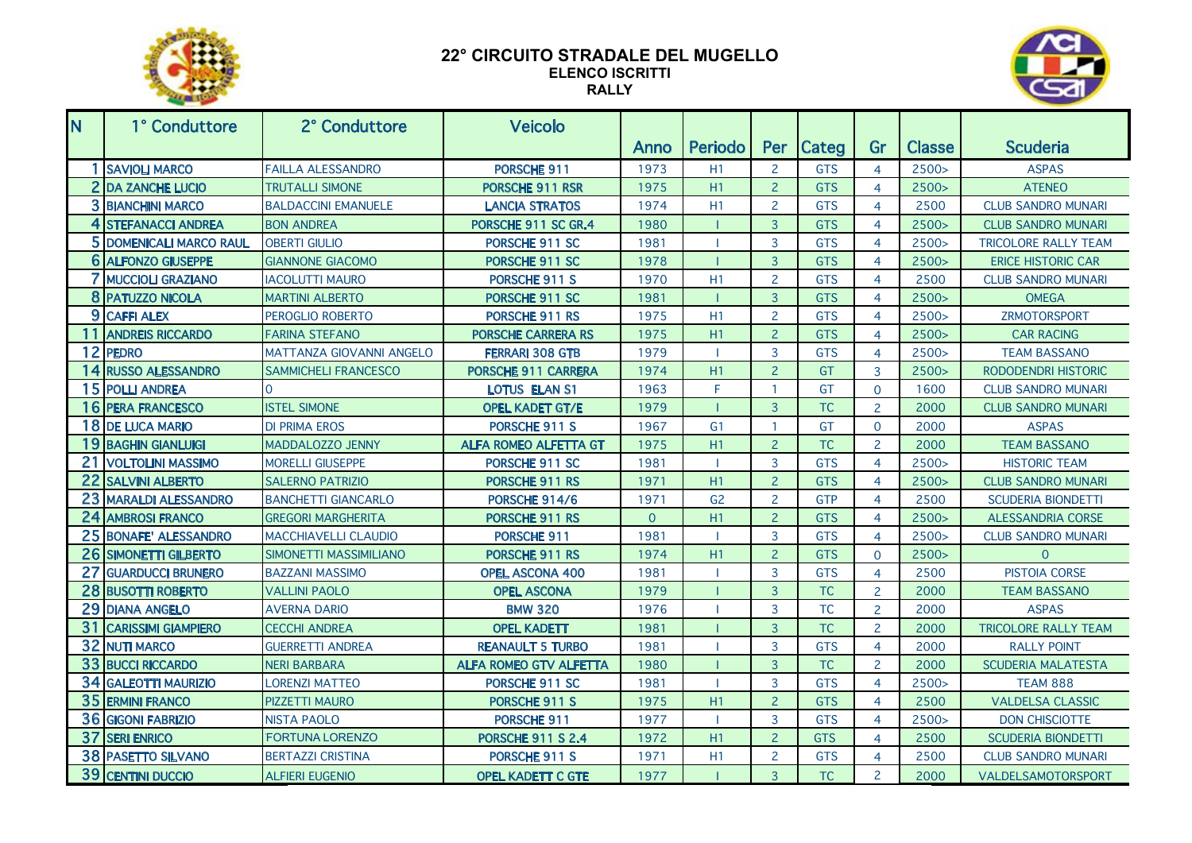

## **22° CIRCUITO STRADALE DEL MUGELLO ELENCO ISCRITTI RALLY**



| N. | 1° Conduttore              | 2° Conduttore               | <b>Veicolo</b>                |                |                |                         |              |                |               |                             |
|----|----------------------------|-----------------------------|-------------------------------|----------------|----------------|-------------------------|--------------|----------------|---------------|-----------------------------|
|    |                            |                             |                               | Anno           | <b>Periodo</b> | Per                     | <b>Categ</b> | Gr             | <b>Classe</b> | <b>Scuderia</b>             |
|    | 1 SAVIOLI MARCO            | <b>FAILLA ALESSANDRO</b>    | PORSCHE 911                   | 1973           | H1             | $\overline{2}$          | <b>GTS</b>   | 4              | 2500 >        | <b>ASPAS</b>                |
|    | 2 DA ZANCHE LUCIO          | <b>TRUTALLI SIMONE</b>      | PORSCHE 911 RSR               | 1975           | H1             | $\overline{2}$          | <b>GTS</b>   | $\overline{4}$ | 2500 >        | <b>ATENEO</b>               |
|    | <b>3 BIANCHINI MARCO</b>   | <b>BALDACCINI EMANUELE</b>  | <b>LANCIA STRATOS</b>         | 1974           | H1             | $\overline{2}$          | <b>GTS</b>   | $\overline{4}$ | 2500          | <b>CLUB SANDRO MUNARI</b>   |
|    | 4 STEFANACCI ANDREA        | <b>BON ANDREA</b>           | PORSCHE 911 SC GR.4           | 1980           |                | $\overline{3}$          | <b>GTS</b>   | $\overline{4}$ | 2500 >        | <b>CLUB SANDRO MUNARI</b>   |
|    | 5 DOMENICALI MARCO RAUL    | <b>OBERTI GIULIO</b>        | PORSCHE 911 SC                | 1981           |                | 3                       | <b>GTS</b>   | $\overline{4}$ | 2500 >        | <b>TRICOLORE RALLY TEAM</b> |
| 6  | <b>ALFONZO GIUSEPPE</b>    | <b>GIANNONE GIACOMO</b>     | PORSCHE 911 SC                | 1978           |                | $\overline{3}$          | <b>GTS</b>   | 4              | 2500 >        | <b>ERICE HISTORIC CAR</b>   |
| 7  | <b>MUCCIOLI GRAZIANO</b>   | <b>IACOLUTTI MAURO</b>      | PORSCHE 911 S                 | 1970           | H <sub>1</sub> | $\overline{2}$          | <b>GTS</b>   | $\overline{4}$ | 2500          | <b>CLUB SANDRO MUNARI</b>   |
|    | 8 PATUZZO NICOLA           | <b>MARTINI ALBERTO</b>      | PORSCHE 911 SC                | 1981           |                | $\overline{3}$          | <b>GTS</b>   | $\overline{4}$ | 2500 >        | <b>OMEGA</b>                |
|    | 9 CAFFI ALEX               | PEROGLIO ROBERTO            | PORSCHE 911 RS                | 1975           | H1             | $\overline{2}$          | <b>GTS</b>   | $\overline{4}$ | 2500 >        | <b>ZRMOTORSPORT</b>         |
| 11 | <b>ANDREIS RICCARDO</b>    | <b>FARINA STEFANO</b>       | <b>PORSCHE CARRERA RS</b>     | 1975           | H1             | $\overline{2}$          | <b>GTS</b>   | 4              | 2500 >        | <b>CAR RACING</b>           |
|    | 12 PEDRO                   | MATTANZA GIOVANNI ANGELO    | <b>FERRARI 308 GTB</b>        | 1979           |                | 3                       | <b>GTS</b>   | 4              | 2500 >        | <b>TEAM BASSANO</b>         |
| 14 | <b>RUSSO ALESSANDRO</b>    | <b>SAMMICHELI FRANCESCO</b> | PORSCHE 911 CARRERA           | 1974           | H1             | $\overline{2}$          | GT           | $\overline{3}$ | 2500 >        | <b>RODODENDRI HISTORIC</b>  |
|    | 15 POLLI ANDREA            |                             | <b>LOTUS ELAN S1</b>          | 1963           | F              | $\overline{\mathbf{1}}$ | GT           | $\overline{0}$ | 1600          | <b>CLUB SANDRO MUNARI</b>   |
| 16 | <b>PERA FRANCESCO</b>      | <b>ISTEL SIMONE</b>         | <b>OPEL KADET GT/E</b>        | 1979           |                | $\overline{3}$          | <b>TC</b>    | $\overline{2}$ | 2000          | <b>CLUB SANDRO MUNARI</b>   |
| 18 | <b>DE LUCA MARIO</b>       | <b>DI PRIMA EROS</b>        | PORSCHE 911 S                 | 1967           | G <sub>1</sub> | $\overline{1}$          | GT           | $\mathbf 0$    | 2000          | <b>ASPAS</b>                |
| 19 | <b>BAGHIN GIANLUIGI</b>    | MADDALOZZO JENNY            | <b>ALFA ROMEO ALFETTA GT</b>  | 1975           | H1             | $\overline{2}$          | <b>TC</b>    | $\overline{2}$ | 2000          | <b>TEAM BASSANO</b>         |
| 21 | <b>VOLTOLINI MASSIMO</b>   | <b>MORELLI GIUSEPPE</b>     | PORSCHE 911 SC                | 1981           |                | 3                       | <b>GTS</b>   | $\overline{4}$ | 2500 >        | <b>HISTORIC TEAM</b>        |
| 22 | <b>SALVINI ALBERTO</b>     | <b>SALERNO PATRIZIO</b>     | PORSCHE 911 RS                | 1971           | H1             | $\overline{2}$          | <b>GTS</b>   | $\overline{4}$ | 2500 >        | <b>CLUB SANDRO MUNARI</b>   |
| 23 | <b>MARALDI ALESSANDRO</b>  | <b>BANCHETTI GIANCARLO</b>  | PORSCHE 914/6                 | 1971           | G <sub>2</sub> | $\overline{2}$          | <b>GTP</b>   | $\overline{4}$ | 2500          | <b>SCUDERIA BIONDETTI</b>   |
| 24 | <b>AMBROSI FRANCO</b>      | <b>GREGORI MARGHERITA</b>   | PORSCHE 911 RS                | $\overline{0}$ | H1             | $\overline{2}$          | <b>GTS</b>   | $\overline{4}$ | 2500 >        | <b>ALESSANDRIA CORSE</b>    |
| 25 | <b>BONAFE' ALESSANDRO</b>  | <b>MACCHIAVELLI CLAUDIO</b> | PORSCHE 911                   | 1981           |                | 3                       | <b>GTS</b>   | $\overline{4}$ | 2500>         | <b>CLUB SANDRO MUNARI</b>   |
| 26 | <b>SIMONETTI GILBERTO</b>  | SIMONETTI MASSIMILIANO      | PORSCHE 911 RS                | 1974           | H1             | $\overline{2}$          | <b>GTS</b>   | $\mathbf{0}$   | 2500 >        | $\Omega$                    |
| 27 | <b>GUARDUCCI BRUNERO</b>   | <b>BAZZANI MASSIMO</b>      | <b>OPEL ASCONA 400</b>        | 1981           |                | 3                       | <b>GTS</b>   | $\overline{4}$ | 2500          | PISTOIA CORSE               |
| 28 | <b>BUSOTTI ROBERTO</b>     | <b>VALLINI PAOLO</b>        | <b>OPEL ASCONA</b>            | 1979           |                | 3                       | <b>TC</b>    | $\overline{2}$ | 2000          | <b>TEAM BASSANO</b>         |
| 29 | <b>DIANA ANGELO</b>        | <b>AVERNA DARIO</b>         | <b>BMW 320</b>                | 1976           |                | 3                       | <b>TC</b>    | $\overline{c}$ | 2000          | <b>ASPAS</b>                |
| 31 | <b>CARISSIMI GIAMPIERO</b> | <b>CECCHI ANDREA</b>        | <b>OPEL KADETT</b>            | 1981           |                | $\overline{3}$          | <b>TC</b>    | $\overline{2}$ | 2000          | <b>TRICOLORE RALLY TEAM</b> |
| 32 | <b>NUTI MARCO</b>          | <b>GUERRETTI ANDREA</b>     | <b>REANAULT 5 TURBO</b>       | 1981           |                | 3                       | <b>GTS</b>   | $\overline{4}$ | 2000          | <b>RALLY POINT</b>          |
| 33 | <b>BUCCI RICCARDO</b>      | <b>NERI BARBARA</b>         | <b>ALFA ROMEO GTV ALFETTA</b> | 1980           |                | 3                       | <b>TC</b>    | $\overline{2}$ | 2000          | <b>SCUDERIA MALATESTA</b>   |
|    | 34 GALEOTTI MAURIZIO       | <b>LORENZI MATTEO</b>       | PORSCHE 911 SC                | 1981           |                | 3                       | <b>GTS</b>   | 4              | 2500 >        | <b>TEAM 888</b>             |
| 35 | <b>ERMINI FRANCO</b>       | <b>PIZZETTI MAURO</b>       | PORSCHE 911 S                 | 1975           | H1             | $\overline{2}$          | <b>GTS</b>   | $\overline{4}$ | 2500          | <b>VALDELSA CLASSIC</b>     |
| 36 | <b>GIGONI FABRIZIO</b>     | <b>NISTA PAOLO</b>          | PORSCHE 911                   | 1977           |                | 3                       | <b>GTS</b>   | $\overline{4}$ | 2500>         | <b>DON CHISCIOTTE</b>       |
| 37 | <b>SERI ENRICO</b>         | <b>FORTUNA LORENZO</b>      | <b>PORSCHE 911 S 2.4</b>      | 1972           | H1             | $\overline{2}$          | <b>GTS</b>   | $\overline{4}$ | 2500          | <b>SCUDERIA BIONDETTI</b>   |
|    | <b>38 PASETTO SILVANO</b>  | <b>BERTAZZI CRISTINA</b>    | PORSCHE 911 S                 | 1971           | H1             | $\overline{2}$          | <b>GTS</b>   | 4              | 2500          | <b>CLUB SANDRO MUNARI</b>   |
|    | 39 CENTINI DUCCIO          | <b>ALFIERI EUGENIO</b>      | <b>OPEL KADETT C GTE</b>      | 1977           |                | $\overline{3}$          | <b>TC</b>    | $\overline{2}$ | 2000          | VALDELSAMOTORSPORT          |